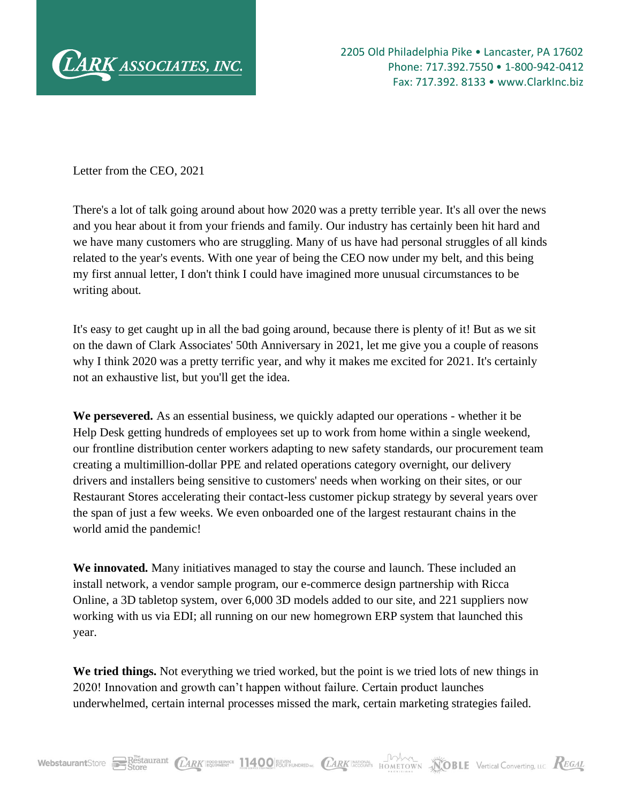

Letter from the CEO, 2021

There's a lot of talk going around about how 2020 was a pretty terrible year. It's all over the news and you hear about it from your friends and family. Our industry has certainly been hit hard and we have many customers who are struggling. Many of us have had personal struggles of all kinds related to the year's events. With one year of being the CEO now under my belt, and this being my first annual letter, I don't think I could have imagined more unusual circumstances to be writing about.

It's easy to get caught up in all the bad going around, because there is plenty of it! But as we sit on the dawn of Clark Associates' 50th Anniversary in 2021, let me give you a couple of reasons why I think 2020 was a pretty terrific year, and why it makes me excited for 2021. It's certainly not an exhaustive list, but you'll get the idea.

**We persevered.** As an essential business, we quickly adapted our operations - whether it be Help Desk getting hundreds of employees set up to work from home within a single weekend, our frontline distribution center workers adapting to new safety standards, our procurement team creating a multimillion-dollar PPE and related operations category overnight, our delivery drivers and installers being sensitive to customers' needs when working on their sites, or our Restaurant Stores accelerating their contact-less customer pickup strategy by several years over the span of just a few weeks. We even onboarded one of the largest restaurant chains in the world amid the pandemic!

**We innovated.** Many initiatives managed to stay the course and launch. These included an install network, a vendor sample program, our e-commerce design partnership with Ricca Online, a 3D tabletop system, over 6,000 3D models added to our site, and 221 suppliers now working with us via EDI; all running on our new homegrown ERP system that launched this year.

**We tried things.** Not everything we tried worked, but the point is we tried lots of new things in 2020! Innovation and growth can't happen without failure. Certain product launches underwhelmed, certain internal processes missed the mark, certain marketing strategies failed.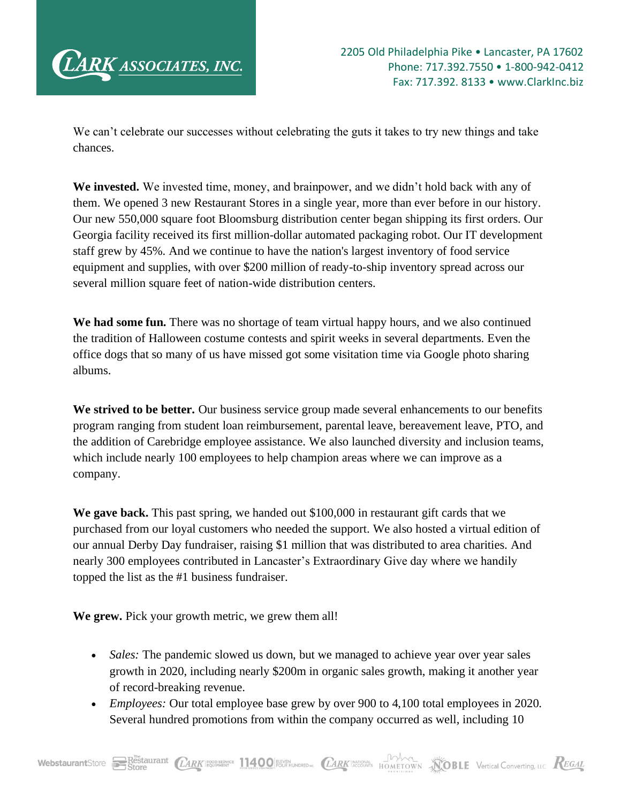

We can't celebrate our successes without celebrating the guts it takes to try new things and take chances.

**We invested.** We invested time, money, and brainpower, and we didn't hold back with any of them. We opened 3 new Restaurant Stores in a single year, more than ever before in our history. Our new 550,000 square foot Bloomsburg distribution center began shipping its first orders. Our Georgia facility received its first million-dollar automated packaging robot. Our IT development staff grew by 45%. And we continue to have the nation's largest inventory of food service equipment and supplies, with over \$200 million of ready-to-ship inventory spread across our several million square feet of nation-wide distribution centers.

**We had some fun.** There was no shortage of team virtual happy hours, and we also continued the tradition of Halloween costume contests and spirit weeks in several departments. Even the office dogs that so many of us have missed got some visitation time via Google photo sharing albums.

**We strived to be better.** Our business service group made several enhancements to our benefits program ranging from student loan reimbursement, parental leave, bereavement leave, PTO, and the addition of Carebridge employee assistance. We also launched diversity and inclusion teams, which include nearly 100 employees to help champion areas where we can improve as a company.

**We gave back.** This past spring, we handed out \$100,000 in restaurant gift cards that we purchased from our loyal customers who needed the support. We also hosted a virtual edition of our annual Derby Day fundraiser, raising \$1 million that was distributed to area charities. And nearly 300 employees contributed in Lancaster's Extraordinary Give day where we handily topped the list as the #1 business fundraiser.

**We grew.** Pick your growth metric, we grew them all!

- *Sales:* The pandemic slowed us down, but we managed to achieve year over year sales growth in 2020, including nearly \$200m in organic sales growth, making it another year of record-breaking revenue.
- *Employees:* Our total employee base grew by over 900 to 4,100 total employees in 2020. Several hundred promotions from within the company occurred as well, including 10